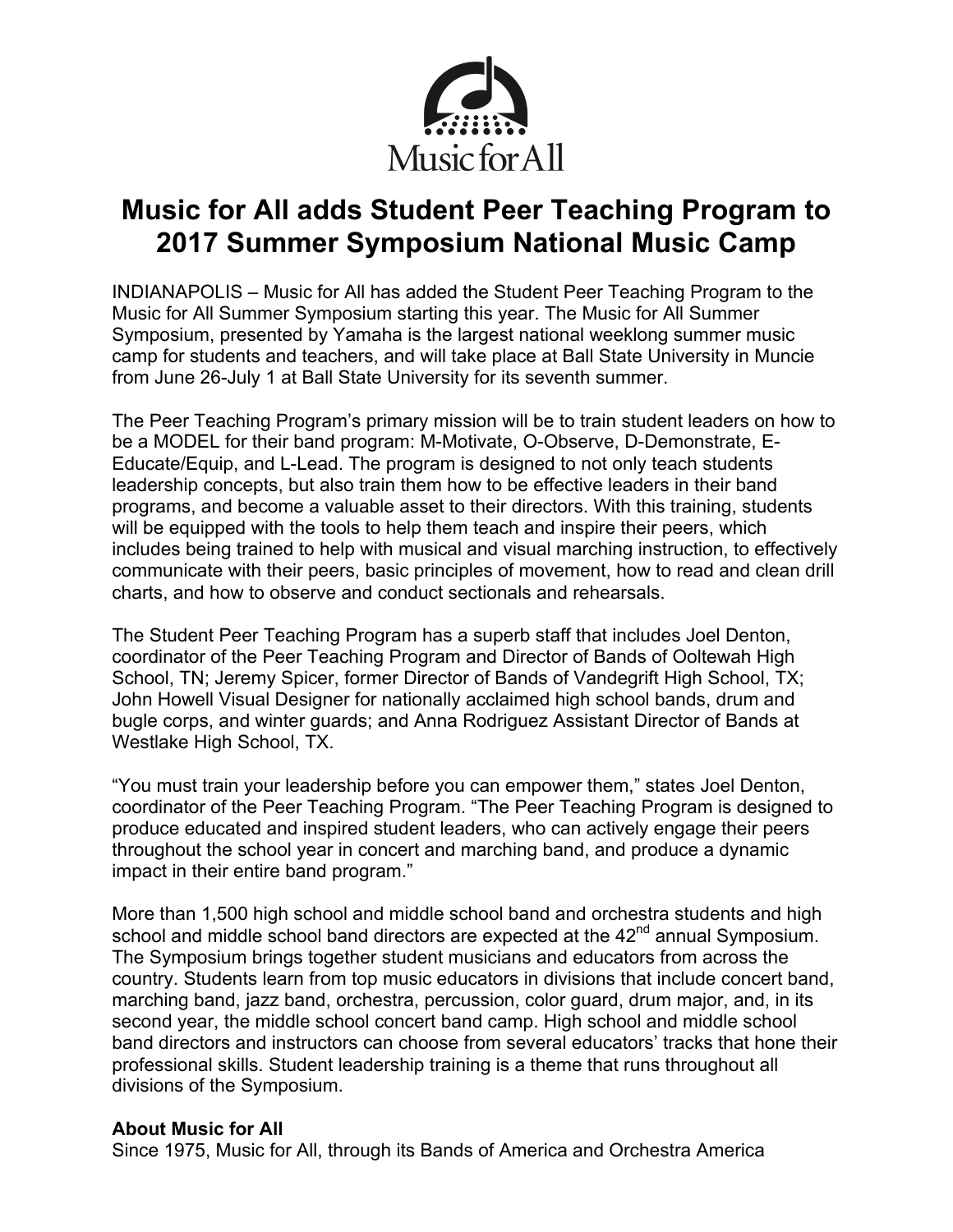

## **Music for All adds Student Peer Teaching Program to 2017 Summer Symposium National Music Camp**

INDIANAPOLIS – Music for All has added the Student Peer Teaching Program to the Music for All Summer Symposium starting this year. The Music for All Summer Symposium, presented by Yamaha is the largest national weeklong summer music camp for students and teachers, and will take place at Ball State University in Muncie from June 26-July 1 at Ball State University for its seventh summer.

The Peer Teaching Program's primary mission will be to train student leaders on how to be a MODEL for their band program: M-Motivate, O-Observe, D-Demonstrate, E-Educate/Equip, and L-Lead. The program is designed to not only teach students leadership concepts, but also train them how to be effective leaders in their band programs, and become a valuable asset to their directors. With this training, students will be equipped with the tools to help them teach and inspire their peers, which includes being trained to help with musical and visual marching instruction, to effectively communicate with their peers, basic principles of movement, how to read and clean drill charts, and how to observe and conduct sectionals and rehearsals.

The Student Peer Teaching Program has a superb staff that includes Joel Denton, coordinator of the Peer Teaching Program and Director of Bands of Ooltewah High School, TN; Jeremy Spicer, former Director of Bands of Vandegrift High School, TX; John Howell Visual Designer for nationally acclaimed high school bands, drum and bugle corps, and winter guards; and Anna Rodriguez Assistant Director of Bands at Westlake High School, TX.

"You must train your leadership before you can empower them," states Joel Denton, coordinator of the Peer Teaching Program. "The Peer Teaching Program is designed to produce educated and inspired student leaders, who can actively engage their peers throughout the school year in concert and marching band, and produce a dynamic impact in their entire band program."

More than 1,500 high school and middle school band and orchestra students and high school and middle school band directors are expected at the 42<sup>nd</sup> annual Symposium. The Symposium brings together student musicians and educators from across the country. Students learn from top music educators in divisions that include concert band, marching band, jazz band, orchestra, percussion, color guard, drum major, and, in its second year, the middle school concert band camp. High school and middle school band directors and instructors can choose from several educators' tracks that hone their professional skills. Student leadership training is a theme that runs throughout all divisions of the Symposium.

## **About Music for All**

Since 1975, Music for All, through its Bands of America and Orchestra America